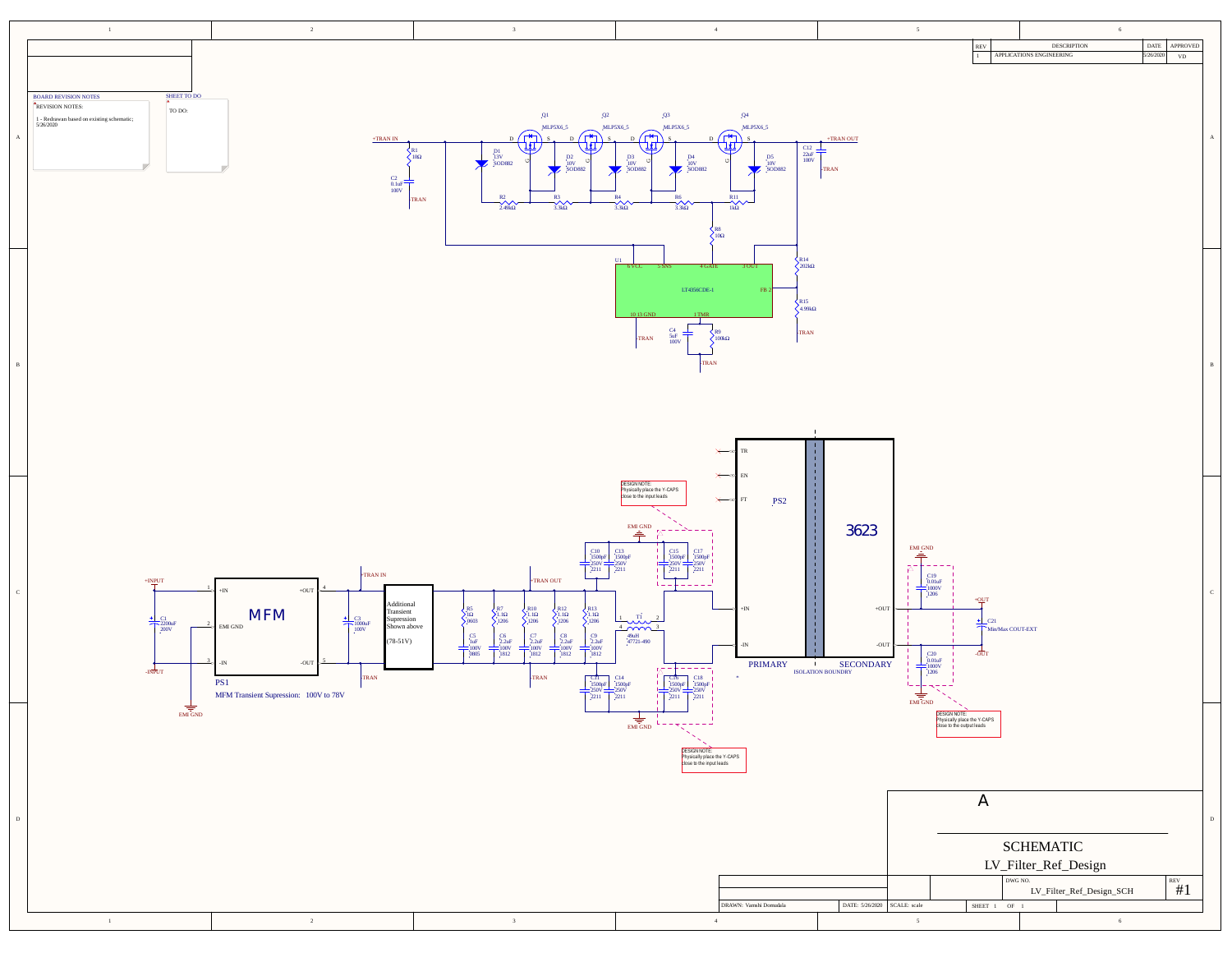